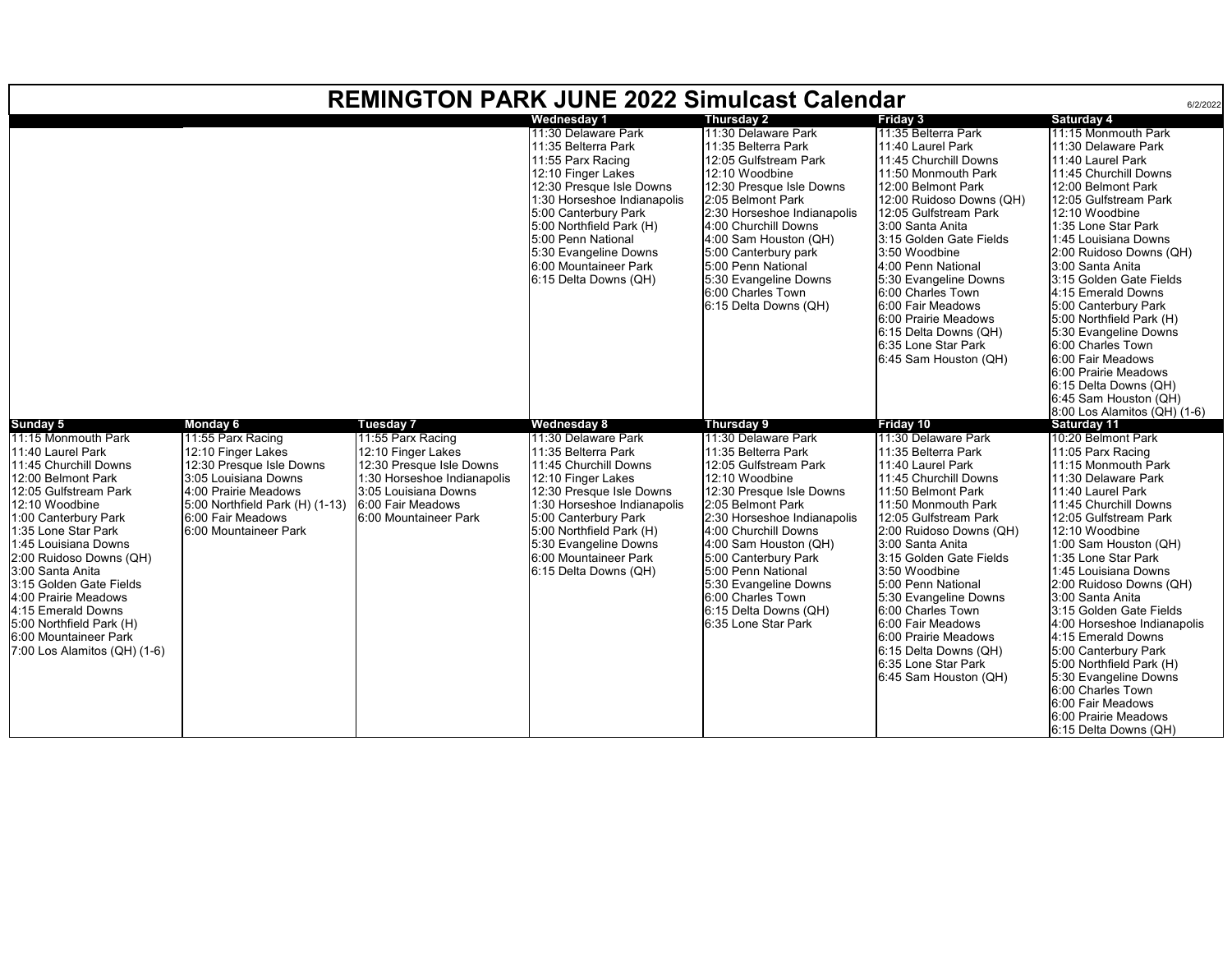| <b>REMINGTON PARK JUNE 2022 Simulcast Calendar</b><br>6/2/2022                                                                                                                                                                                                                                                                                                                                                                     |                                                                                                                                                                                                                         |                                                                                                                                                                                              |                                                                                                                                                                                                                                                                                                       |                                                                                                                                                                                                                                                                                                                                                                                  |                                                                                                                                                                                                                                                                                                                                                                                                                                                                  |                                                                                                                                                                                                                                                                                                                                                                                                                                                                                                                                                                              |  |  |  |  |  |
|------------------------------------------------------------------------------------------------------------------------------------------------------------------------------------------------------------------------------------------------------------------------------------------------------------------------------------------------------------------------------------------------------------------------------------|-------------------------------------------------------------------------------------------------------------------------------------------------------------------------------------------------------------------------|----------------------------------------------------------------------------------------------------------------------------------------------------------------------------------------------|-------------------------------------------------------------------------------------------------------------------------------------------------------------------------------------------------------------------------------------------------------------------------------------------------------|----------------------------------------------------------------------------------------------------------------------------------------------------------------------------------------------------------------------------------------------------------------------------------------------------------------------------------------------------------------------------------|------------------------------------------------------------------------------------------------------------------------------------------------------------------------------------------------------------------------------------------------------------------------------------------------------------------------------------------------------------------------------------------------------------------------------------------------------------------|------------------------------------------------------------------------------------------------------------------------------------------------------------------------------------------------------------------------------------------------------------------------------------------------------------------------------------------------------------------------------------------------------------------------------------------------------------------------------------------------------------------------------------------------------------------------------|--|--|--|--|--|
|                                                                                                                                                                                                                                                                                                                                                                                                                                    |                                                                                                                                                                                                                         |                                                                                                                                                                                              | <b>Wednesday 1</b>                                                                                                                                                                                                                                                                                    | <b>Thursday 2</b>                                                                                                                                                                                                                                                                                                                                                                | <b>Friday 3</b>                                                                                                                                                                                                                                                                                                                                                                                                                                                  | <b>Saturday 4</b>                                                                                                                                                                                                                                                                                                                                                                                                                                                                                                                                                            |  |  |  |  |  |
|                                                                                                                                                                                                                                                                                                                                                                                                                                    |                                                                                                                                                                                                                         |                                                                                                                                                                                              | 11:30 Delaware Park<br>11:35 Belterra Park<br>11:55 Parx Racing<br>12:10 Finger Lakes<br>12:30 Presque Isle Downs<br>1:30 Horseshoe Indianapolis<br>5:00 Canterbury Park<br>5:00 Northfield Park (H)<br>5:00 Penn National<br>5:30 Evangeline Downs<br>6:00 Mountaineer Park<br>6:15 Delta Downs (QH) | 11:30 Delaware Park<br>11:35 Belterra Park<br>12:05 Gulfstream Park<br>12:10 Woodbine<br>12:30 Presque Isle Downs<br>2:05 Belmont Park<br>2:30 Horseshoe Indianapolis<br>4:00 Churchill Downs<br>4:00 Sam Houston (QH)<br>5:00 Canterbury park<br>5:00 Penn National<br>5:30 Evangeline Downs<br>6:00 Charles Town<br>6:15 Delta Downs (QH)                                      | 11:35 Belterra Park<br>11:40 Laurel Park<br>11:45 Churchill Downs<br>11:50 Monmouth Park<br>12:00 Belmont Park<br>12:00 Ruidoso Downs (QH)<br>12:05 Gulfstream Park<br>3:00 Santa Anita<br>3:15 Golden Gate Fields<br>3:50 Woodbine<br>4:00 Penn National<br>5:30 Evangeline Downs<br>6:00 Charles Town<br>6:00 Fair Meadows<br>6:00 Prairie Meadows<br>6:15 Delta Downs (QH)<br>6:35 Lone Star Park<br>6:45 Sam Houston (QH)                                    | 11:15 Monmouth Park<br>11:30 Delaware Park<br>11:40 Laurel Park<br>11:45 Churchill Downs<br>12:00 Belmont Park<br>12:05 Gulfstream Park<br>12:10 Woodbine<br>1:35 Lone Star Park<br>1:45 Louisiana Downs<br>2:00 Ruidoso Downs (QH)<br>3:00 Santa Anita<br>3:15 Golden Gate Fields<br>4:15 Emerald Downs<br>5:00 Canterbury Park<br>5:00 Northfield Park (H)<br>5:30 Evangeline Downs<br>6:00 Charles Town<br>6:00 Fair Meadows<br>6:00 Prairie Meadows<br>6:15 Delta Downs (QH)<br>6:45 Sam Houston (QH)                                                                    |  |  |  |  |  |
|                                                                                                                                                                                                                                                                                                                                                                                                                                    |                                                                                                                                                                                                                         |                                                                                                                                                                                              |                                                                                                                                                                                                                                                                                                       |                                                                                                                                                                                                                                                                                                                                                                                  |                                                                                                                                                                                                                                                                                                                                                                                                                                                                  | $8:00$ Los Alamitos (QH) $(1-6)$                                                                                                                                                                                                                                                                                                                                                                                                                                                                                                                                             |  |  |  |  |  |
| Sunday 5<br>11:15 Monmouth Park<br>11:40 Laurel Park<br>11:45 Churchill Downs<br>12:00 Belmont Park<br>12:05 Gulfstream Park<br>12:10 Woodbine<br>1:00 Canterbury Park<br>1:35 Lone Star Park<br>1:45 Louisiana Downs<br>2:00 Ruidoso Downs (QH)<br>3:00 Santa Anita<br>3:15 Golden Gate Fields<br>4:00 Prairie Meadows<br>4:15 Emerald Downs<br>5:00 Northfield Park (H)<br>6:00 Mountaineer Park<br>7:00 Los Alamitos (QH) (1-6) | <b>Monday 6</b><br>11:55 Parx Racing<br>12:10 Finger Lakes<br>12:30 Presque Isle Downs<br>3:05 Louisiana Downs<br>4:00 Prairie Meadows<br>5:00 Northfield Park (H) (1-13)<br>6:00 Fair Meadows<br>6:00 Mountaineer Park | <b>Tuesday 7</b><br>11:55 Parx Racing<br>12:10 Finger Lakes<br>12:30 Presque Isle Downs<br>1:30 Horseshoe Indianapolis<br>3:05 Louisiana Downs<br>6:00 Fair Meadows<br>6:00 Mountaineer Park | Wednesday 8<br>11:30 Delaware Park<br>11:35 Belterra Park<br>11:45 Churchill Downs<br>12:10 Finger Lakes<br>12:30 Presque Isle Downs<br>1:30 Horseshoe Indianapolis<br>5:00 Canterbury Park<br>5:00 Northfield Park (H)<br>5:30 Evangeline Downs<br>6:00 Mountaineer Park<br>6:15 Delta Downs (QH)    | Thursday 9<br>11:30 Delaware Park<br>11:35 Belterra Park<br>12:05 Gulfstream Park<br>12:10 Woodbine<br>12:30 Presque Isle Downs<br>2:05 Belmont Park<br>2:30 Horseshoe Indianapolis<br>4:00 Churchill Downs<br>4:00 Sam Houston (QH)<br>5:00 Canterbury Park<br>5:00 Penn National<br>5:30 Evangeline Downs<br>6:00 Charles Town<br>6:15 Delta Downs (QH)<br>6:35 Lone Star Park | Friday 10<br>11:30 Delaware Park<br>11:35 Belterra Park<br>11:40 Laurel Park<br>11:45 Churchill Downs<br>11:50 Belmont Park<br>11:50 Monmouth Park<br>12:05 Gulfstream Park<br>2:00 Ruidoso Downs (QH)<br>3:00 Santa Anita<br>3:15 Golden Gate Fields<br>3:50 Woodbine<br>5:00 Penn National<br>5:30 Evangeline Downs<br>6:00 Charles Town<br>6:00 Fair Meadows<br>6:00 Prairie Meadows<br>6:15 Delta Downs (QH)<br>6:35 Lone Star Park<br>6:45 Sam Houston (QH) | Saturday 11<br>10:20 Belmont Park<br>11:05 Parx Racing<br>11:15 Monmouth Park<br>11:30 Delaware Park<br>11:40 Laurel Park<br>11:45 Churchill Downs<br>12:05 Gulfstream Park<br>12:10 Woodbine<br>1:00 Sam Houston (QH)<br>1:35 Lone Star Park<br>1:45 Louisiana Downs<br>2:00 Ruidoso Downs (QH)<br>3:00 Santa Anita<br>3:15 Golden Gate Fields<br>4:00 Horseshoe Indianapolis<br>4:15 Emerald Downs<br>5:00 Canterbury Park<br>5:00 Northfield Park (H)<br>5:30 Evangeline Downs<br>6:00 Charles Town<br>6:00 Fair Meadows<br>6:00 Prairie Meadows<br>6:15 Delta Downs (QH) |  |  |  |  |  |